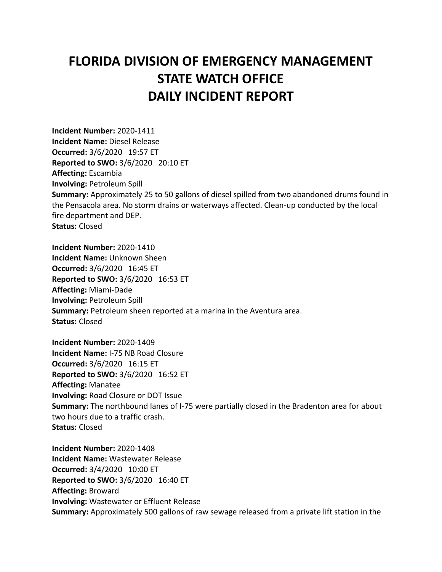## **FLORIDA DIVISION OF EMERGENCY MANAGEMENT STATE WATCH OFFICE DAILY INCIDENT REPORT**

**Incident Number:** 2020-1411 **Incident Name:** Diesel Release **Occurred:** 3/6/2020 19:57 ET **Reported to SWO:** 3/6/2020 20:10 ET **Affecting:** Escambia **Involving:** Petroleum Spill **Summary:** Approximately 25 to 50 gallons of diesel spilled from two abandoned drums found in the Pensacola area. No storm drains or waterways affected. Clean-up conducted by the local fire department and DEP. **Status:** Closed

**Incident Number:** 2020-1410 **Incident Name:** Unknown Sheen **Occurred:** 3/6/2020 16:45 ET **Reported to SWO:** 3/6/2020 16:53 ET **Affecting:** Miami-Dade **Involving:** Petroleum Spill **Summary:** Petroleum sheen reported at a marina in the Aventura area. **Status:** Closed

**Incident Number:** 2020-1409 **Incident Name:** I-75 NB Road Closure **Occurred:** 3/6/2020 16:15 ET **Reported to SWO:** 3/6/2020 16:52 ET **Affecting:** Manatee **Involving:** Road Closure or DOT Issue **Summary:** The northbound lanes of I-75 were partially closed in the Bradenton area for about two hours due to a traffic crash. **Status:** Closed

**Incident Number:** 2020-1408 **Incident Name:** Wastewater Release **Occurred:** 3/4/2020 10:00 ET **Reported to SWO:** 3/6/2020 16:40 ET **Affecting:** Broward **Involving:** Wastewater or Effluent Release **Summary:** Approximately 500 gallons of raw sewage released from a private lift station in the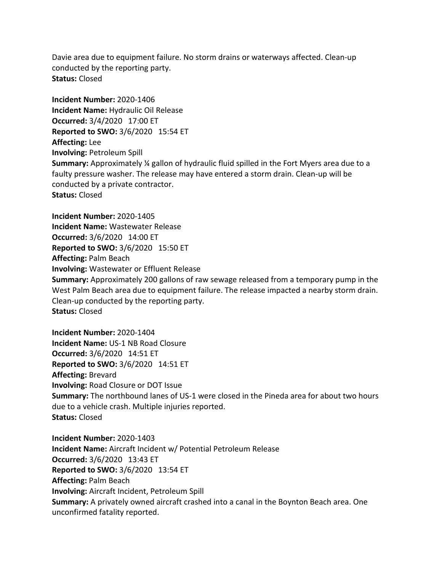Davie area due to equipment failure. No storm drains or waterways affected. Clean-up conducted by the reporting party. **Status:** Closed

**Incident Number:** 2020-1406 **Incident Name:** Hydraulic Oil Release **Occurred:** 3/4/2020 17:00 ET **Reported to SWO:** 3/6/2020 15:54 ET **Affecting:** Lee **Involving:** Petroleum Spill **Summary:** Approximately ¼ gallon of hydraulic fluid spilled in the Fort Myers area due to a faulty pressure washer. The release may have entered a storm drain. Clean-up will be conducted by a private contractor. **Status:** Closed

**Incident Number:** 2020-1405 **Incident Name:** Wastewater Release **Occurred:** 3/6/2020 14:00 ET **Reported to SWO:** 3/6/2020 15:50 ET **Affecting:** Palm Beach **Involving:** Wastewater or Effluent Release **Summary:** Approximately 200 gallons of raw sewage released from a temporary pump in the West Palm Beach area due to equipment failure. The release impacted a nearby storm drain. Clean-up conducted by the reporting party. **Status:** Closed

**Incident Number:** 2020-1404 **Incident Name:** US-1 NB Road Closure **Occurred:** 3/6/2020 14:51 ET **Reported to SWO:** 3/6/2020 14:51 ET **Affecting:** Brevard **Involving:** Road Closure or DOT Issue **Summary:** The northbound lanes of US-1 were closed in the Pineda area for about two hours due to a vehicle crash. Multiple injuries reported. **Status:** Closed

**Incident Number:** 2020-1403 **Incident Name:** Aircraft Incident w/ Potential Petroleum Release **Occurred:** 3/6/2020 13:43 ET **Reported to SWO:** 3/6/2020 13:54 ET **Affecting:** Palm Beach **Involving:** Aircraft Incident, Petroleum Spill **Summary:** A privately owned aircraft crashed into a canal in the Boynton Beach area. One unconfirmed fatality reported.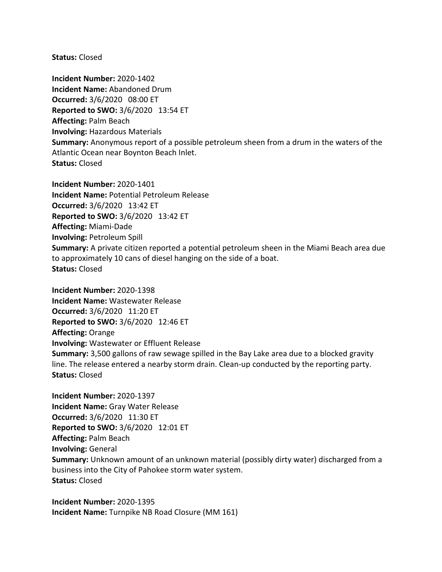**Status:** Closed

**Incident Number:** 2020-1402 **Incident Name:** Abandoned Drum **Occurred:** 3/6/2020 08:00 ET **Reported to SWO:** 3/6/2020 13:54 ET **Affecting:** Palm Beach **Involving:** Hazardous Materials **Summary:** Anonymous report of a possible petroleum sheen from a drum in the waters of the Atlantic Ocean near Boynton Beach Inlet. **Status:** Closed

**Incident Number:** 2020-1401 **Incident Name:** Potential Petroleum Release **Occurred:** 3/6/2020 13:42 ET **Reported to SWO:** 3/6/2020 13:42 ET **Affecting:** Miami-Dade **Involving:** Petroleum Spill **Summary:** A private citizen reported a potential petroleum sheen in the Miami Beach area due to approximately 10 cans of diesel hanging on the side of a boat. **Status:** Closed

**Incident Number:** 2020-1398 **Incident Name:** Wastewater Release **Occurred:** 3/6/2020 11:20 ET **Reported to SWO:** 3/6/2020 12:46 ET **Affecting:** Orange **Involving:** Wastewater or Effluent Release **Summary:** 3,500 gallons of raw sewage spilled in the Bay Lake area due to a blocked gravity line. The release entered a nearby storm drain. Clean-up conducted by the reporting party. **Status:** Closed

**Incident Number:** 2020-1397 **Incident Name:** Gray Water Release **Occurred:** 3/6/2020 11:30 ET **Reported to SWO:** 3/6/2020 12:01 ET **Affecting:** Palm Beach **Involving:** General **Summary:** Unknown amount of an unknown material (possibly dirty water) discharged from a business into the City of Pahokee storm water system. **Status:** Closed

**Incident Number:** 2020-1395 **Incident Name:** Turnpike NB Road Closure (MM 161)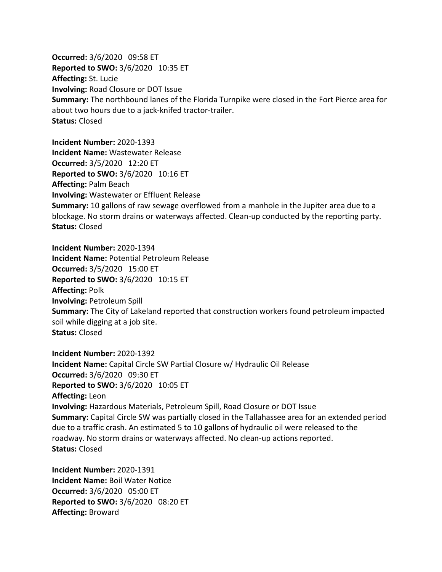**Occurred:** 3/6/2020 09:58 ET **Reported to SWO:** 3/6/2020 10:35 ET **Affecting:** St. Lucie **Involving:** Road Closure or DOT Issue **Summary:** The northbound lanes of the Florida Turnpike were closed in the Fort Pierce area for about two hours due to a jack-knifed tractor-trailer. **Status:** Closed

**Incident Number:** 2020-1393 **Incident Name:** Wastewater Release **Occurred:** 3/5/2020 12:20 ET **Reported to SWO:** 3/6/2020 10:16 ET **Affecting:** Palm Beach **Involving:** Wastewater or Effluent Release **Summary:** 10 gallons of raw sewage overflowed from a manhole in the Jupiter area due to a blockage. No storm drains or waterways affected. Clean-up conducted by the reporting party. **Status:** Closed

**Incident Number:** 2020-1394 **Incident Name:** Potential Petroleum Release **Occurred:** 3/5/2020 15:00 ET **Reported to SWO:** 3/6/2020 10:15 ET **Affecting:** Polk **Involving:** Petroleum Spill **Summary:** The City of Lakeland reported that construction workers found petroleum impacted soil while digging at a job site. **Status:** Closed

**Incident Number:** 2020-1392 **Incident Name:** Capital Circle SW Partial Closure w/ Hydraulic Oil Release **Occurred:** 3/6/2020 09:30 ET **Reported to SWO:** 3/6/2020 10:05 ET **Affecting:** Leon **Involving:** Hazardous Materials, Petroleum Spill, Road Closure or DOT Issue **Summary:** Capital Circle SW was partially closed in the Tallahassee area for an extended period due to a traffic crash. An estimated 5 to 10 gallons of hydraulic oil were released to the roadway. No storm drains or waterways affected. No clean-up actions reported. **Status:** Closed

**Incident Number:** 2020-1391 **Incident Name:** Boil Water Notice **Occurred:** 3/6/2020 05:00 ET **Reported to SWO:** 3/6/2020 08:20 ET **Affecting:** Broward